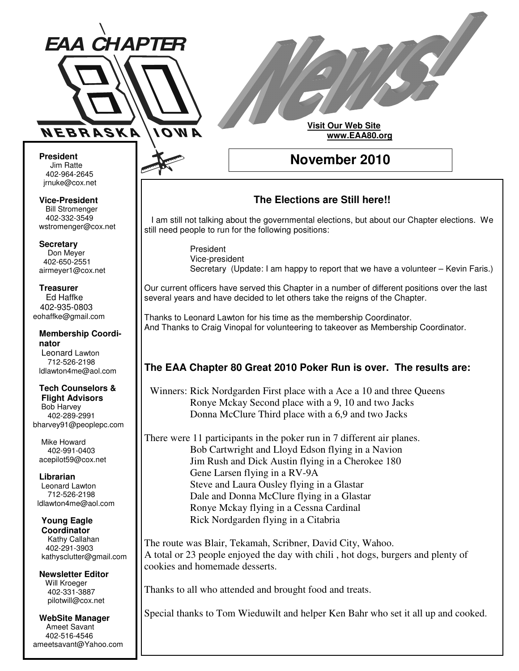

#### **Visit Our Web Site www.EAA80.org**

**November 2010**

**President** Jim Ratte Ratte 402-964-2645 jrnuke@cox.net

**Vice-President** Bill Stromenger 402-332-3549 jrnuke@cox.net 402-332-3549wstromenger@cox.net

**Secretary** Don Meyer Don Meyer 402-650-2551 airmeyer1@cox.net

**Treasurer** Ed Haffke Ed Haffke 402-935-0803 eohaffke@gmail.com

**Membership Coordinator** Leonard Lawton 402-895-0125 712-526-2198 ldlawton4me@aol.com

**Tech Counselors & Tech Counselors & Flight Advisors Flight Advisors** Bob Harvey Bob Harvey 402-289-2991 402-289-2991 bharvey91@peoplepc.com bharvey91@peoplepc.com

Mike Howard Mike Howard 402-991-0403 402-991-0403 acepilot59@cox.net acepilot59@cox.net

**Librarian Librarian** Leonard Lawton Leonard Lawton 712-526-2198 712-526-2198 ldlawton4me@aol.com ldlawton4me@aol.com

**Young Eagle Young Eagle Coordinator Coordinator** Kathy Callahan 402-291-3903 kathysclutter@gmail.com

**Newsletter Editor Newsletter Editor** Will Kroeger Will Kroeger 402-331-3887 402-331-3887 pilotwill@cox.net pilotwill@cox.net

**WebSite Manager WebSite Manager** Ameet Savant Ameet Savant 402-516-4546 402-516-4546 ameetsavant@Yahoo.com ameetsavant@Yahoo.com

# **The Elections are Still here!!**

I am still not talking about the governmental elections, but about our Chapter elections. We still need people to run for the following positions:

> President Vice-president Secretary (Update: I am happy to report that we have a volunteer – Kevin Faris.)

Our current officers have served this Chapter in a number of different positions over the last several years and have decided to let others take the reigns of the Chapter.

Thanks to Leonard Lawton for his time as the membership Coordinator. And Thanks to Craig Vinopal for volunteering to takeover as Membership Coordinator.

# **The EAA Chapter 80 Great 2010 Poker Run is over. The results are:**

Winners: Rick Nordgarden First place with a Ace a 10 and three Queens Ronye Mckay Second place with a 9, 10 and two Jacks Donna McClure Third place with a 6,9 and two Jacks

There were 11 participants in the poker run in 7 different air planes. Bob Cartwright and Lloyd Edson flying in a Navion Jim Rush and Dick Austin flying in a Cherokee 180 Gene Larsen flying in a RV-9A Steve and Laura Ousley flying in a Glastar Dale and Donna McClure flying in a Glastar Ronye Mckay flying in a Cessna Cardinal Rick Nordgarden flying in a Citabria

The route was Blair, Tekamah, Scribner, David City, Wahoo. A total or 23 people enjoyed the day with chili , hot dogs, burgers and plenty of cookies and homemade desserts.

Thanks to all who attended and brought food and treats.

Special thanks to Tom Wieduwilt and helper Ken Bahr who set it all up and cooked.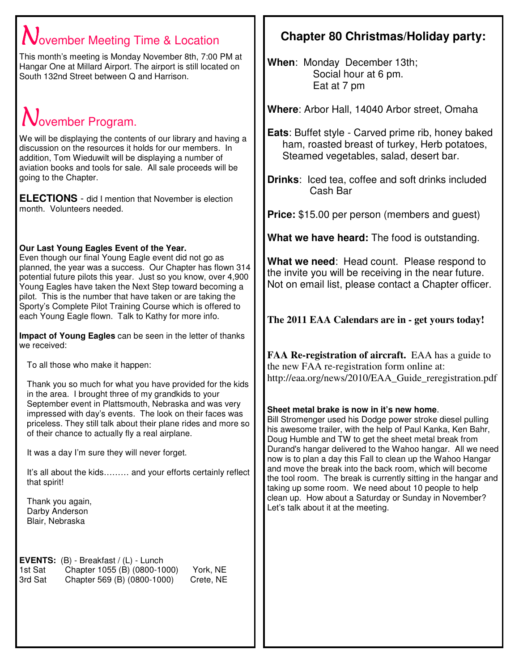# $\mathbf N$ ovember Meeting Time & Location

This month's meeting is Monday November 8th, 7:00 PM at Hangar One at Millard Airport. The airport is still located on South 132nd Street between Q and Harrison.

# $N$ ovember Program.

We will be displaying the contents of our library and having a discussion on the resources it holds for our members. In addition, Tom Wieduwilt will be displaying a number of aviation books and tools for sale. All sale proceeds will be going to the Chapter.

**ELECTIONS** - did I mention that November is election month. Volunteers needed.

### **Our Last Young Eagles Event of the Year.**

Even though our final Young Eagle event did not go as planned, the year was a success. Our Chapter has flown 314 potential future pilots this year. Just so you know, over 4,900 Young Eagles have taken the Next Step toward becoming a pilot. This is the number that have taken or are taking the Sporty's Complete Pilot Training Course which is offered to each Young Eagle flown. Talk to Kathy for more info.

**Impact of Young Eagles** can be seen in the letter of thanks we received:

To all those who make it happen:

Thank you so much for what you have provided for the kids in the area. I brought three of my grandkids to your September event in Plattsmouth, Nebraska and was very impressed with day's events. The look on their faces was priceless. They still talk about their plane rides and more so of their chance to actually fly a real airplane.

It was a day I'm sure they will never forget.

It's all about the kids……… and your efforts certainly reflect that spirit!

Thank you again, Darby Anderson Blair, Nebraska

**EVENTS:** (B) - Breakfast / (L) - Lunch<br>1st Sat Chapter 1055 (B) (0800-10 Chapter 1055 (B) (0800-1000) York, NE 3rd Sat Chapter 569 (B) (0800-1000) Crete, NE

# **Chapter 80 Christmas/Holiday party:**

**When**: Monday December 13th; Social hour at 6 pm. Eat at 7 pm

**Where**: Arbor Hall, 14040 Arbor street, Omaha

**Eats**: Buffet style - Carved prime rib, honey baked ham, roasted breast of turkey, Herb potatoes, Steamed vegetables, salad, desert bar.

**Drinks**: Iced tea, coffee and soft drinks included Cash Bar

**Price:** \$15.00 per person (members and guest)

**What we have heard:** The food is outstanding.

**What we need**: Head count. Please respond to the invite you will be receiving in the near future. Not on email list, please contact a Chapter officer.

**The 2011 EAA Calendars are in - get yours today!**

**FAA Re-registration of aircraft.** EAA has a guide to the new FAA re-registration form online at: http://eaa.org/news/2010/EAA\_Guide\_reregistration.pdf

# **Sheet metal brake is now in it's new home**.

Bill Stromenger used his Dodge power stroke diesel pulling his awesome trailer, with the help of Paul Kanka, Ken Bahr, Doug Humble and TW to get the sheet metal break from Durand's hangar delivered to the Wahoo hangar. All we need now is to plan a day this Fall to clean up the Wahoo Hangar and move the break into the back room, which will become the tool room. The break is currently sitting in the hangar and taking up some room. We need about 10 people to help clean up. How about a Saturday or Sunday in November? Let's talk about it at the meeting.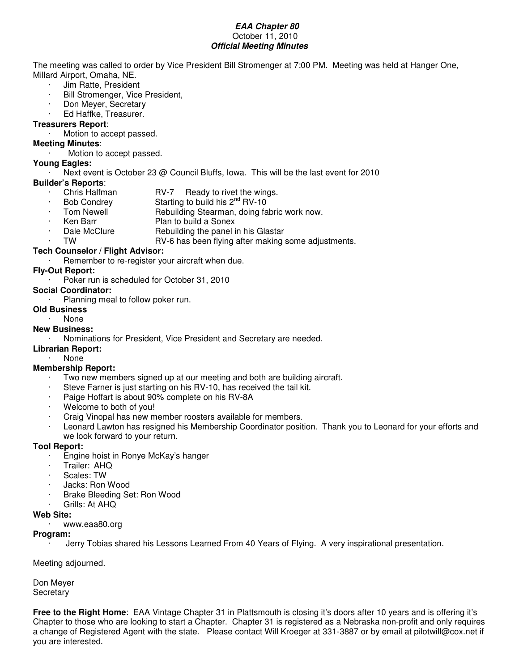#### **EAA Chapter 80** October 11, 2010 **Official Meeting Minutes**

The meeting was called to order by Vice President Bill Stromenger at 7:00 PM. Meeting was held at Hanger One, Millard Airport, Omaha, NE.

- · Jim Ratte, President
- Bill Stromenger, Vice President,
- · Don Meyer, Secretary
- Ed Haffke, Treasurer.

#### **Treasurers Report**:

Motion to accept passed.

#### **Meeting Minutes**:

Motion to accept passed.

### **Young Eagles:**

Next event is October 23 @ Council Bluffs, Iowa. This will be the last event for 2010

#### **Builder's Reports**:

- Chris Halfman RV-7 Ready to rivet the wings.
- Bob Condrey Starting to build his  $2^{nd}$  RV-10
- Tom Newell Rebuilding Stearman, doing fabric work now.
- **Ken Barr** Plan to build a Sonex
- Dale McClure **Rebuilding the panel in his Glastar** 
	- TW RV-6 has been flying after making some adjustments.

#### **Tech Counselor / Flight Advisor:**

Remember to re-register your aircraft when due.

#### **Fly-Out Report:**

#### Poker run is scheduled for October 31, 2010

#### **Social Coordinator:**

Planning meal to follow poker run.

#### **Old Business**

#### · None

#### **New Business:**

- · Nominations for President, Vice President and Secretary are needed.
- **Librarian Report:**
	- None<sup>1</sup>

#### **Membership Report:**

- $\cdot$  Two new members signed up at our meeting and both are building aircraft.
- Steve Farner is just starting on his RV-10, has received the tail kit.
- Paige Hoffart is about 90% complete on his RV-8A
- Welcome to both of you!
- Craig Vinopal has new member roosters available for members.
- Leonard Lawton has resigned his Membership Coordinator position. Thank you to Leonard for your efforts and we look forward to your return.

#### **Tool Report:**

- · Engine hoist in Ronye McKay's hanger
- · Trailer: AHQ
- Scales: TW
- · Jacks: Ron Wood
- Brake Bleeding Set: Ron Wood
- Grills: At AHQ

#### **Web Site:**

#### · www.eaa80.org

#### **Program:**

Jerry Tobias shared his Lessons Learned From 40 Years of Flying. A very inspirational presentation.

#### Meeting adjourned.

Don Meyer **Secretary** 

**Free to the Right Home**: EAA Vintage Chapter 31 in Plattsmouth is closing it's doors after 10 years and is offering it's Chapter to those who are looking to start a Chapter. Chapter 31 is registered as a Nebraska non-profit and only requires a change of Registered Agent with the state. Please contact Will Kroeger at 331-3887 or by email at pilotwill@cox.net if you are interested.